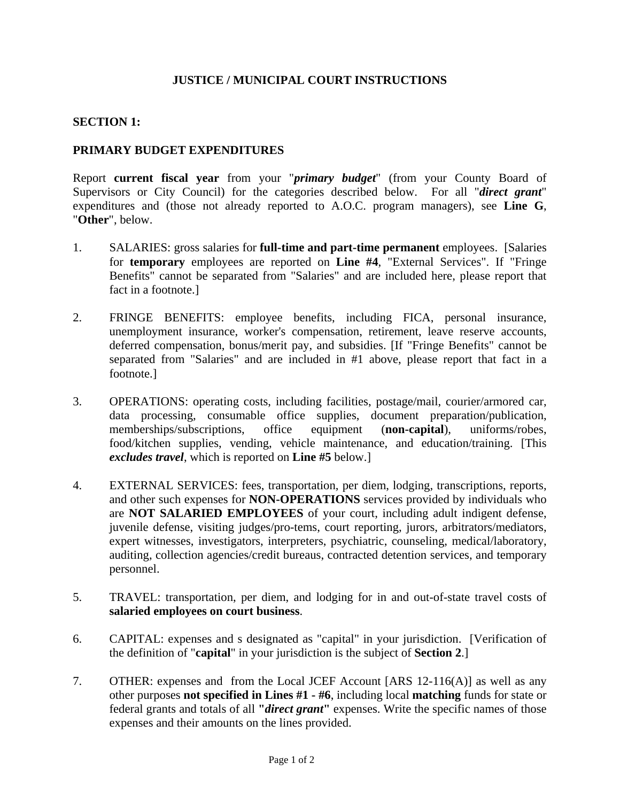# **JUSTICE / MUNICIPAL COURT INSTRUCTIONS**

## **SECTION 1:**

## **PRIMARY BUDGET EXPENDITURES**

Report **current fiscal year** from your "*primary budget*" (from your County Board of Supervisors or City Council) for the categories described below. For all "*direct grant*" expenditures and (those not already reported to A.O.C. program managers), see **Line G**, "**Other**", below.

- 1. SALARIES: gross salaries for **full-time and part-time permanent** employees. [Salaries for **temporary** employees are reported on **Line #4**, "External Services". If "Fringe Benefits" cannot be separated from "Salaries" and are included here, please report that fact in a footnote.]
- 2. FRINGE BENEFITS: employee benefits, including FICA, personal insurance, unemployment insurance, worker's compensation, retirement, leave reserve accounts, deferred compensation, bonus/merit pay, and subsidies. [If "Fringe Benefits" cannot be separated from "Salaries" and are included in #1 above, please report that fact in a footnote.]
- 3. OPERATIONS: operating costs, including facilities, postage/mail, courier/armored car, data processing, consumable office supplies, document preparation/publication, memberships/subscriptions, office equipment (**non-capital**), uniforms/robes, food/kitchen supplies, vending, vehicle maintenance, and education/training. [This *excludes travel*, which is reported on **Line #5** below.]
- 4. EXTERNAL SERVICES: fees, transportation, per diem, lodging, transcriptions, reports, and other such expenses for **NON-OPERATIONS** services provided by individuals who are **NOT SALARIED EMPLOYEES** of your court, including adult indigent defense, juvenile defense, visiting judges/pro-tems, court reporting, jurors, arbitrators/mediators, expert witnesses, investigators, interpreters, psychiatric, counseling, medical/laboratory, auditing, collection agencies/credit bureaus, contracted detention services, and temporary personnel.
- 5. TRAVEL: transportation, per diem, and lodging for in and out-of-state travel costs of **salaried employees on court business**.
- 6. CAPITAL: expenses and s designated as "capital" in your jurisdiction. [Verification of the definition of "**capital**" in your jurisdiction is the subject of **Section 2**.]
- 7. OTHER: expenses and from the Local JCEF Account [ARS 12-116(A)] as well as any other purposes **not specified in Lines #1 - #6**, including local **matching** funds for state or federal grants and totals of all **"***direct grant***"** expenses. Write the specific names of those expenses and their amounts on the lines provided.